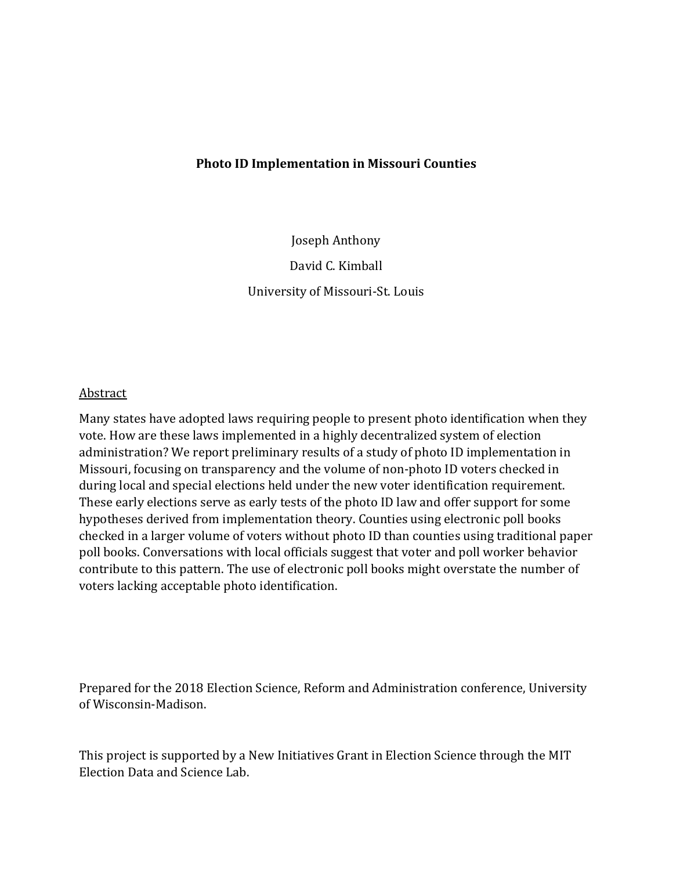## **Photo ID Implementation in Missouri Counties**

Joseph Anthony

David C. Kimball University of Missouri-St. Louis

## Abstract

Many states have adopted laws requiring people to present photo identification when they vote. How are these laws implemented in a highly decentralized system of election administration? We report preliminary results of a study of photo ID implementation in Missouri, focusing on transparency and the volume of non-photo ID voters checked in during local and special elections held under the new voter identification requirement. These early elections serve as early tests of the photo ID law and offer support for some hypotheses derived from implementation theory. Counties using electronic poll books checked in a larger volume of voters without photo ID than counties using traditional paper poll books. Conversations with local officials suggest that voter and poll worker behavior contribute to this pattern. The use of electronic poll books might overstate the number of voters lacking acceptable photo identification.

Prepared for the 2018 Election Science, Reform and Administration conference, University of Wisconsin-Madison.

This project is supported by a New Initiatives Grant in Election Science through the MIT Election Data and Science Lab.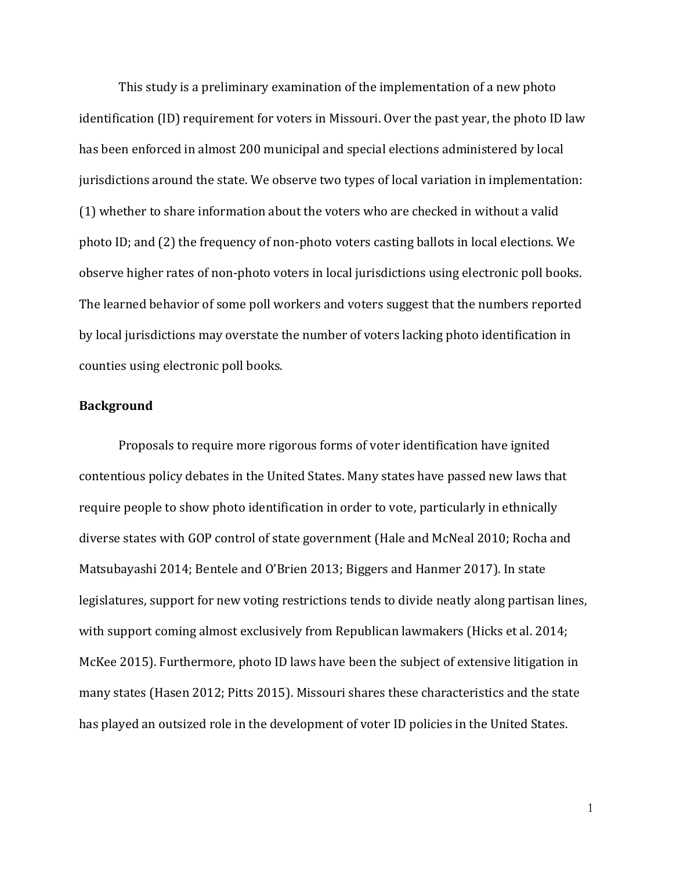This study is a preliminary examination of the implementation of a new photo identification (ID) requirement for voters in Missouri. Over the past year, the photo ID law has been enforced in almost 200 municipal and special elections administered by local jurisdictions around the state. We observe two types of local variation in implementation: (1) whether to share information about the voters who are checked in without a valid photo ID; and (2) the frequency of non-photo voters casting ballots in local elections. We observe higher rates of non-photo voters in local jurisdictions using electronic poll books. The learned behavior of some poll workers and voters suggest that the numbers reported by local jurisdictions may overstate the number of voters lacking photo identification in counties using electronic poll books.

## **Background**

Proposals to require more rigorous forms of voter identification have ignited contentious policy debates in the United States. Many states have passed new laws that require people to show photo identification in order to vote, particularly in ethnically diverse states with GOP control of state government (Hale and McNeal 2010; Rocha and Matsubayashi 2014; Bentele and O'Brien 2013; Biggers and Hanmer 2017). In state legislatures, support for new voting restrictions tends to divide neatly along partisan lines, with support coming almost exclusively from Republican lawmakers (Hicks et al. 2014; McKee 2015). Furthermore, photo ID laws have been the subject of extensive litigation in many states (Hasen 2012; Pitts 2015). Missouri shares these characteristics and the state has played an outsized role in the development of voter ID policies in the United States.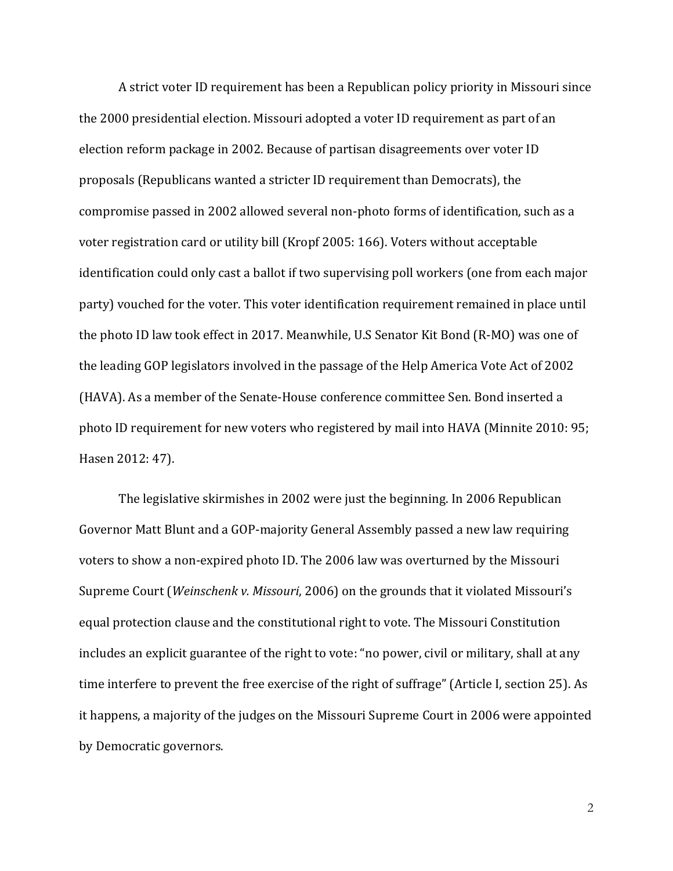A strict voter ID requirement has been a Republican policy priority in Missouri since the 2000 presidential election. Missouri adopted a voter ID requirement as part of an election reform package in 2002. Because of partisan disagreements over voter ID proposals (Republicans wanted a stricter ID requirement than Democrats), the compromise passed in 2002 allowed several non-photo forms of identification, such as a voter registration card or utility bill (Kropf 2005: 166). Voters without acceptable identification could only cast a ballot if two supervising poll workers (one from each major party) vouched for the voter. This voter identification requirement remained in place until the photo ID law took effect in 2017. Meanwhile, U.S Senator Kit Bond (R-MO) was one of the leading GOP legislators involved in the passage of the Help America Vote Act of 2002 (HAVA). As a member of the Senate-House conference committee Sen. Bond inserted a photo ID requirement for new voters who registered by mail into HAVA (Minnite 2010: 95; Hasen 2012: 47).

The legislative skirmishes in 2002 were just the beginning. In 2006 Republican Governor Matt Blunt and a GOP-majority General Assembly passed a new law requiring voters to show a non-expired photo ID. The 2006 law was overturned by the Missouri Supreme Court (*Weinschenk v. Missouri*, 2006) on the grounds that it violated Missouri's equal protection clause and the constitutional right to vote. The Missouri Constitution includes an explicit guarantee of the right to vote: "no power, civil or military, shall at any time interfere to prevent the free exercise of the right of suffrage" (Article I, section 25). As it happens, a majority of the judges on the Missouri Supreme Court in 2006 were appointed by Democratic governors.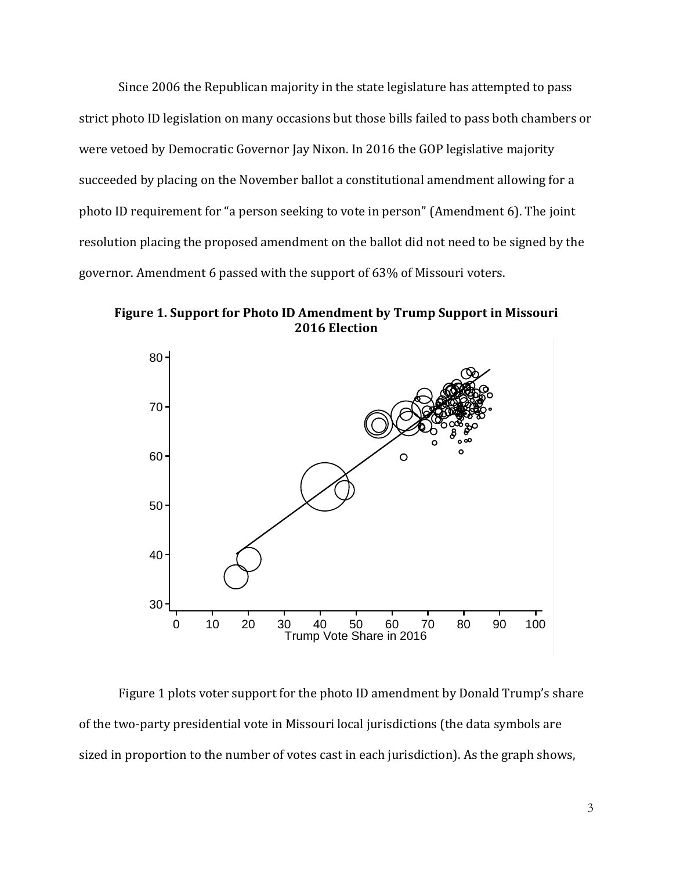Since 2006 the Republican majority in the state legislature has attempted to pass strict photo ID legislation on many occasions but those bills failed to pass both chambers or were vetoed by Democratic Governor Jay Nixon. In 2016 the GOP legislative majority succeeded by placing on the November ballot a constitutional amendment allowing for a photo ID requirement for "a person seeking to vote in person" (Amendment 6). The joint resolution placing the proposed amendment on the ballot did not need to be signed by the governor. Amendment 6 passed with the support of 63% of Missouri voters.

**Figure 1. Support for Photo ID Amendment by Trump Support in Missouri 2016 Election**



Figure 1 plots voter support for the photo ID amendment by Donald Trump's share of the two-party presidential vote in Missouri local jurisdictions (the data symbols are sized in proportion to the number of votes cast in each jurisdiction). As the graph shows,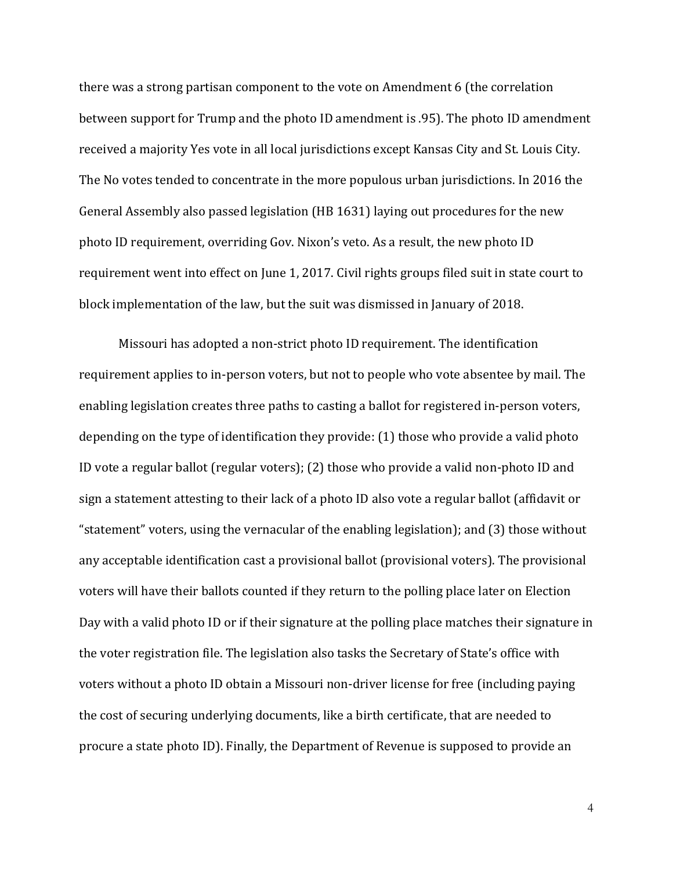there was a strong partisan component to the vote on Amendment 6 (the correlation between support for Trump and the photo ID amendment is .95). The photo ID amendment received a majority Yes vote in all local jurisdictions except Kansas City and St. Louis City. The No votes tended to concentrate in the more populous urban jurisdictions. In 2016 the General Assembly also passed legislation (HB 1631) laying out procedures for the new photo ID requirement, overriding Gov. Nixon's veto. As a result, the new photo ID requirement went into effect on June 1, 2017. Civil rights groups filed suit in state court to block implementation of the law, but the suit was dismissed in January of 2018.

Missouri has adopted a non-strict photo ID requirement. The identification requirement applies to in-person voters, but not to people who vote absentee by mail. The enabling legislation creates three paths to casting a ballot for registered in-person voters, depending on the type of identification they provide: (1) those who provide a valid photo ID vote a regular ballot (regular voters); (2) those who provide a valid non-photo ID and sign a statement attesting to their lack of a photo ID also vote a regular ballot (affidavit or "statement" voters, using the vernacular of the enabling legislation); and (3) those without any acceptable identification cast a provisional ballot (provisional voters). The provisional voters will have their ballots counted if they return to the polling place later on Election Day with a valid photo ID or if their signature at the polling place matches their signature in the voter registration file. The legislation also tasks the Secretary of State's office with voters without a photo ID obtain a Missouri non-driver license for free (including paying the cost of securing underlying documents, like a birth certificate, that are needed to procure a state photo ID). Finally, the Department of Revenue is supposed to provide an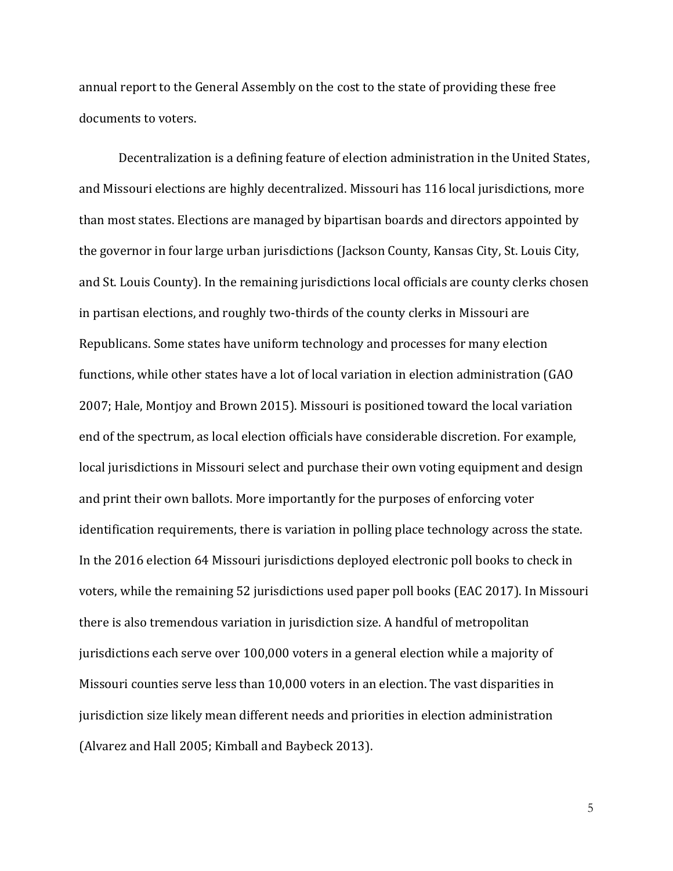annual report to the General Assembly on the cost to the state of providing these free documents to voters.

Decentralization is a defining feature of election administration in the United States, and Missouri elections are highly decentralized. Missouri has 116 local jurisdictions, more than most states. Elections are managed by bipartisan boards and directors appointed by the governor in four large urban jurisdictions (Jackson County, Kansas City, St. Louis City, and St. Louis County). In the remaining jurisdictions local officials are county clerks chosen in partisan elections, and roughly two-thirds of the county clerks in Missouri are Republicans. Some states have uniform technology and processes for many election functions, while other states have a lot of local variation in election administration (GAO 2007; Hale, Montjoy and Brown 2015). Missouri is positioned toward the local variation end of the spectrum, as local election officials have considerable discretion. For example, local jurisdictions in Missouri select and purchase their own voting equipment and design and print their own ballots. More importantly for the purposes of enforcing voter identification requirements, there is variation in polling place technology across the state. In the 2016 election 64 Missouri jurisdictions deployed electronic poll books to check in voters, while the remaining 52 jurisdictions used paper poll books (EAC 2017). In Missouri there is also tremendous variation in jurisdiction size. A handful of metropolitan jurisdictions each serve over 100,000 voters in a general election while a majority of Missouri counties serve less than 10,000 voters in an election. The vast disparities in jurisdiction size likely mean different needs and priorities in election administration (Alvarez and Hall 2005; Kimball and Baybeck 2013).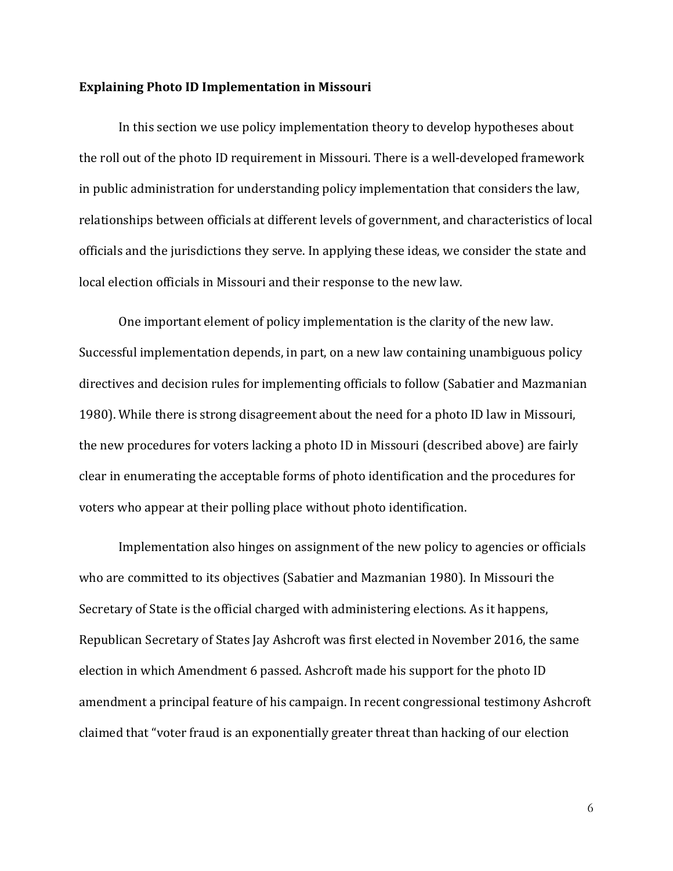#### **Explaining Photo ID Implementation in Missouri**

In this section we use policy implementation theory to develop hypotheses about the roll out of the photo ID requirement in Missouri. There is a well-developed framework in public administration for understanding policy implementation that considers the law, relationships between officials at different levels of government, and characteristics of local officials and the jurisdictions they serve. In applying these ideas, we consider the state and local election officials in Missouri and their response to the new law.

One important element of policy implementation is the clarity of the new law. Successful implementation depends, in part, on a new law containing unambiguous policy directives and decision rules for implementing officials to follow (Sabatier and Mazmanian 1980). While there is strong disagreement about the need for a photo ID law in Missouri, the new procedures for voters lacking a photo ID in Missouri (described above) are fairly clear in enumerating the acceptable forms of photo identification and the procedures for voters who appear at their polling place without photo identification.

Implementation also hinges on assignment of the new policy to agencies or officials who are committed to its objectives (Sabatier and Mazmanian 1980). In Missouri the Secretary of State is the official charged with administering elections. As it happens, Republican Secretary of States Jay Ashcroft was first elected in November 2016, the same election in which Amendment 6 passed. Ashcroft made his support for the photo ID amendment a principal feature of his campaign. In recent congressional testimony Ashcroft claimed that "voter fraud is an exponentially greater threat than hacking of our election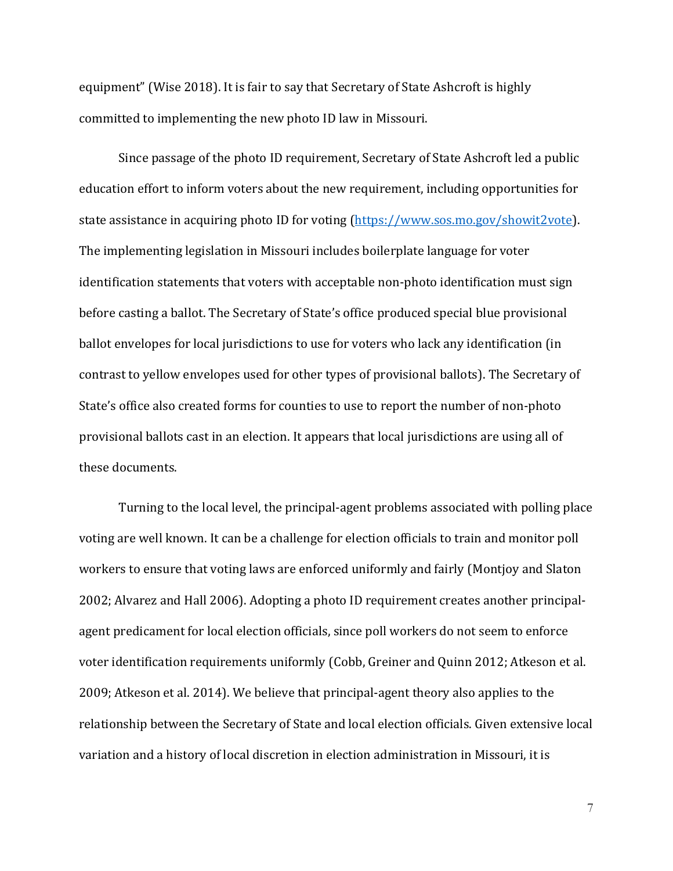equipment" (Wise 2018). It is fair to say that Secretary of State Ashcroft is highly committed to implementing the new photo ID law in Missouri.

Since passage of the photo ID requirement, Secretary of State Ashcroft led a public education effort to inform voters about the new requirement, including opportunities for state assistance in acquiring photo ID for voting [\(https://www.sos.mo.gov/showit2vote\)](https://www.sos.mo.gov/showit2vote). The implementing legislation in Missouri includes boilerplate language for voter identification statements that voters with acceptable non-photo identification must sign before casting a ballot. The Secretary of State's office produced special blue provisional ballot envelopes for local jurisdictions to use for voters who lack any identification (in contrast to yellow envelopes used for other types of provisional ballots). The Secretary of State's office also created forms for counties to use to report the number of non-photo provisional ballots cast in an election. It appears that local jurisdictions are using all of these documents.

Turning to the local level, the principal-agent problems associated with polling place voting are well known. It can be a challenge for election officials to train and monitor poll workers to ensure that voting laws are enforced uniformly and fairly (Montjoy and Slaton 2002; Alvarez and Hall 2006). Adopting a photo ID requirement creates another principalagent predicament for local election officials, since poll workers do not seem to enforce voter identification requirements uniformly (Cobb, Greiner and Quinn 2012; Atkeson et al. 2009; Atkeson et al. 2014). We believe that principal-agent theory also applies to the relationship between the Secretary of State and local election officials. Given extensive local variation and a history of local discretion in election administration in Missouri, it is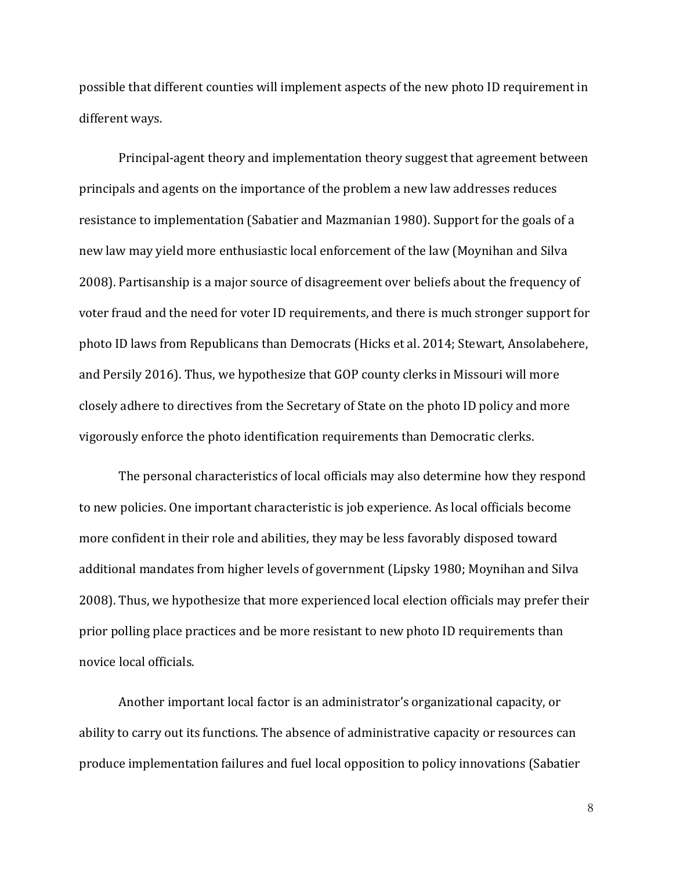possible that different counties will implement aspects of the new photo ID requirement in different ways.

Principal-agent theory and implementation theory suggest that agreement between principals and agents on the importance of the problem a new law addresses reduces resistance to implementation (Sabatier and Mazmanian 1980). Support for the goals of a new law may yield more enthusiastic local enforcement of the law (Moynihan and Silva 2008). Partisanship is a major source of disagreement over beliefs about the frequency of voter fraud and the need for voter ID requirements, and there is much stronger support for photo ID laws from Republicans than Democrats (Hicks et al. 2014; Stewart, Ansolabehere, and Persily 2016). Thus, we hypothesize that GOP county clerks in Missouri will more closely adhere to directives from the Secretary of State on the photo ID policy and more vigorously enforce the photo identification requirements than Democratic clerks.

The personal characteristics of local officials may also determine how they respond to new policies. One important characteristic is job experience. As local officials become more confident in their role and abilities, they may be less favorably disposed toward additional mandates from higher levels of government (Lipsky 1980; Moynihan and Silva 2008). Thus, we hypothesize that more experienced local election officials may prefer their prior polling place practices and be more resistant to new photo ID requirements than novice local officials.

Another important local factor is an administrator's organizational capacity, or ability to carry out its functions. The absence of administrative capacity or resources can produce implementation failures and fuel local opposition to policy innovations (Sabatier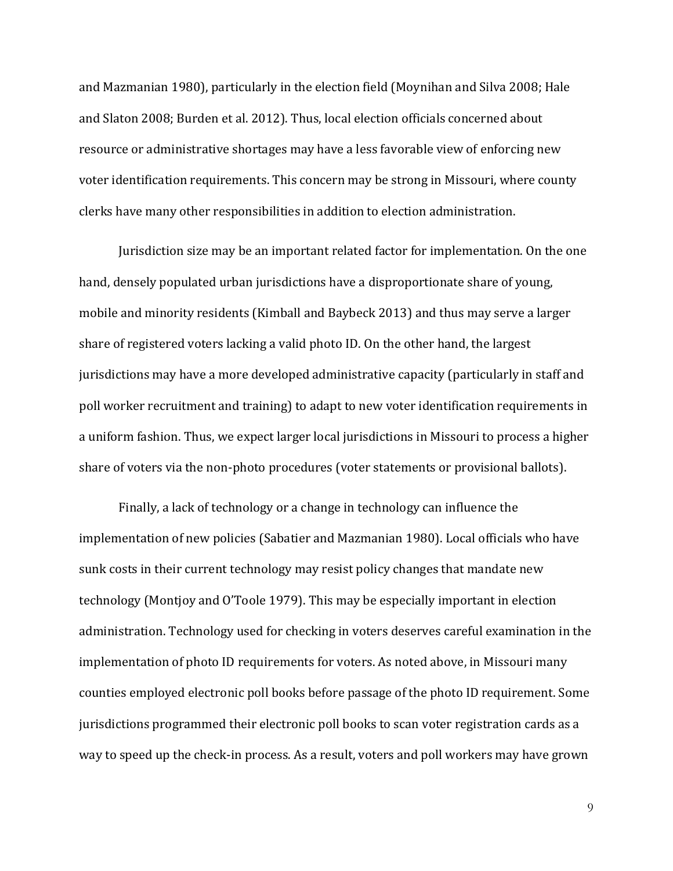and Mazmanian 1980), particularly in the election field (Moynihan and Silva 2008; Hale and Slaton 2008; Burden et al. 2012). Thus, local election officials concerned about resource or administrative shortages may have a less favorable view of enforcing new voter identification requirements. This concern may be strong in Missouri, where county clerks have many other responsibilities in addition to election administration.

Jurisdiction size may be an important related factor for implementation. On the one hand, densely populated urban jurisdictions have a disproportionate share of young, mobile and minority residents (Kimball and Baybeck 2013) and thus may serve a larger share of registered voters lacking a valid photo ID. On the other hand, the largest jurisdictions may have a more developed administrative capacity (particularly in staff and poll worker recruitment and training) to adapt to new voter identification requirements in a uniform fashion. Thus, we expect larger local jurisdictions in Missouri to process a higher share of voters via the non-photo procedures (voter statements or provisional ballots).

Finally, a lack of technology or a change in technology can influence the implementation of new policies (Sabatier and Mazmanian 1980). Local officials who have sunk costs in their current technology may resist policy changes that mandate new technology (Montjoy and O'Toole 1979). This may be especially important in election administration. Technology used for checking in voters deserves careful examination in the implementation of photo ID requirements for voters. As noted above, in Missouri many counties employed electronic poll books before passage of the photo ID requirement. Some jurisdictions programmed their electronic poll books to scan voter registration cards as a way to speed up the check-in process. As a result, voters and poll workers may have grown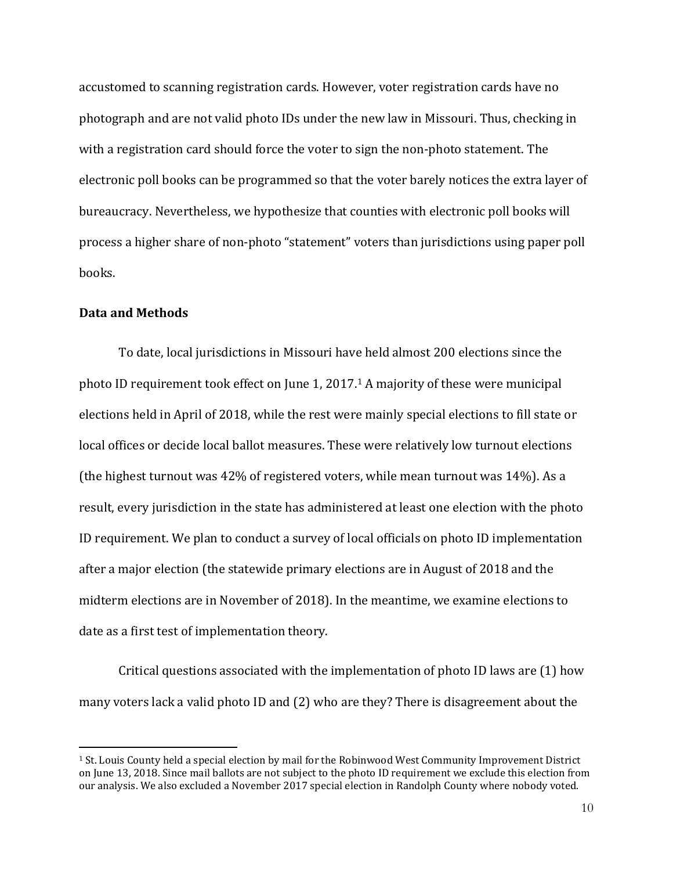accustomed to scanning registration cards. However, voter registration cards have no photograph and are not valid photo IDs under the new law in Missouri. Thus, checking in with a registration card should force the voter to sign the non-photo statement. The electronic poll books can be programmed so that the voter barely notices the extra layer of bureaucracy. Nevertheless, we hypothesize that counties with electronic poll books will process a higher share of non-photo "statement" voters than jurisdictions using paper poll books.

#### **Data and Methods**

 $\overline{\phantom{a}}$ 

To date, local jurisdictions in Missouri have held almost 200 elections since the photo ID requirement took effect on June 1, 2017. <sup>1</sup> A majority of these were municipal elections held in April of 2018, while the rest were mainly special elections to fill state or local offices or decide local ballot measures. These were relatively low turnout elections (the highest turnout was 42% of registered voters, while mean turnout was 14%). As a result, every jurisdiction in the state has administered at least one election with the photo ID requirement. We plan to conduct a survey of local officials on photo ID implementation after a major election (the statewide primary elections are in August of 2018 and the midterm elections are in November of 2018). In the meantime, we examine elections to date as a first test of implementation theory.

Critical questions associated with the implementation of photo ID laws are (1) how many voters lack a valid photo ID and (2) who are they? There is disagreement about the

<sup>1</sup> St. Louis County held a special election by mail for the Robinwood West Community Improvement District on June 13, 2018. Since mail ballots are not subject to the photo ID requirement we exclude this election from our analysis. We also excluded a November 2017 special election in Randolph County where nobody voted.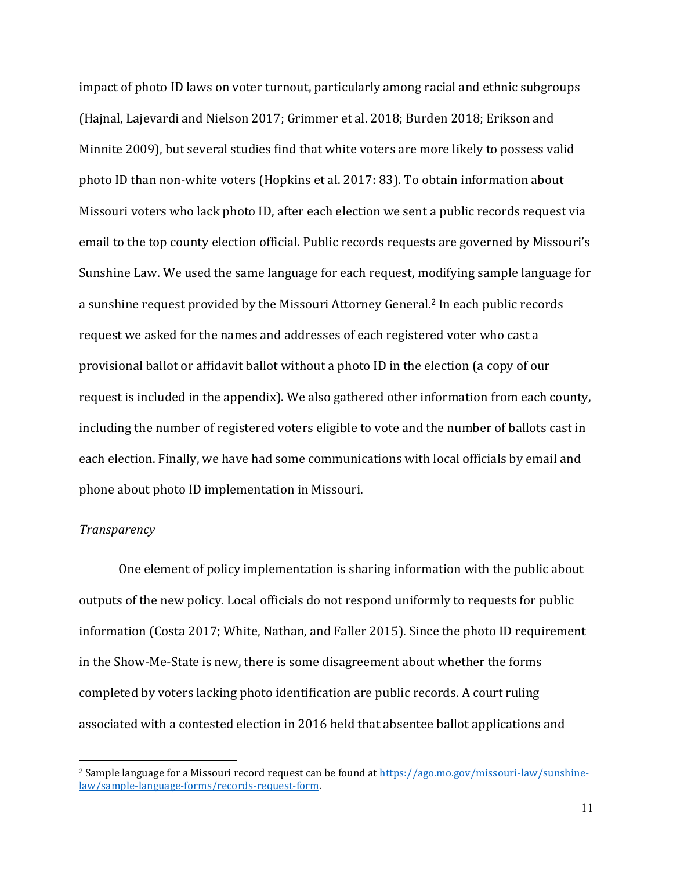impact of photo ID laws on voter turnout, particularly among racial and ethnic subgroups (Hajnal, Lajevardi and Nielson 2017; Grimmer et al. 2018; Burden 2018; Erikson and Minnite 2009), but several studies find that white voters are more likely to possess valid photo ID than non-white voters (Hopkins et al. 2017: 83). To obtain information about Missouri voters who lack photo ID, after each election we sent a public records request via email to the top county election official. Public records requests are governed by Missouri's Sunshine Law. We used the same language for each request, modifying sample language for a sunshine request provided by the Missouri Attorney General.<sup>2</sup> In each public records request we asked for the names and addresses of each registered voter who cast a provisional ballot or affidavit ballot without a photo ID in the election (a copy of our request is included in the appendix). We also gathered other information from each county, including the number of registered voters eligible to vote and the number of ballots cast in each election. Finally, we have had some communications with local officials by email and phone about photo ID implementation in Missouri.

### *Transparency*

 $\overline{\phantom{a}}$ 

One element of policy implementation is sharing information with the public about outputs of the new policy. Local officials do not respond uniformly to requests for public information (Costa 2017; White, Nathan, and Faller 2015). Since the photo ID requirement in the Show-Me-State is new, there is some disagreement about whether the forms completed by voters lacking photo identification are public records. A court ruling associated with a contested election in 2016 held that absentee ballot applications and

<sup>&</sup>lt;sup>2</sup> Sample language for a Missouri record request can be found at [https://ago.mo.gov/missouri-law/sunshine](https://ago.mo.gov/missouri-law/sunshine-law/sample-language-forms/records-request-form)[law/sample-language-forms/records-request-form.](https://ago.mo.gov/missouri-law/sunshine-law/sample-language-forms/records-request-form)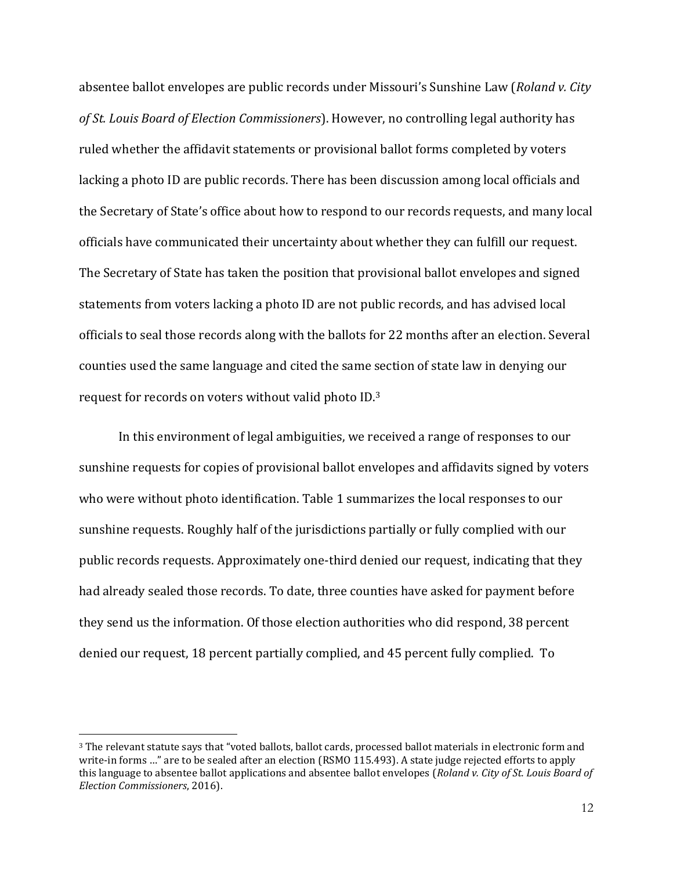absentee ballot envelopes are public records under Missouri's Sunshine Law (*Roland v. City of St. Louis Board of Election Commissioners*). However, no controlling legal authority has ruled whether the affidavit statements or provisional ballot forms completed by voters lacking a photo ID are public records. There has been discussion among local officials and the Secretary of State's office about how to respond to our records requests, and many local officials have communicated their uncertainty about whether they can fulfill our request. The Secretary of State has taken the position that provisional ballot envelopes and signed statements from voters lacking a photo ID are not public records, and has advised local officials to seal those records along with the ballots for 22 months after an election. Several counties used the same language and cited the same section of state law in denying our request for records on voters without valid photo ID. 3

In this environment of legal ambiguities, we received a range of responses to our sunshine requests for copies of provisional ballot envelopes and affidavits signed by voters who were without photo identification. Table 1 summarizes the local responses to our sunshine requests. Roughly half of the jurisdictions partially or fully complied with our public records requests. Approximately one-third denied our request, indicating that they had already sealed those records. To date, three counties have asked for payment before they send us the information. Of those election authorities who did respond, 38 percent denied our request, 18 percent partially complied, and 45 percent fully complied. To

 $\overline{a}$ 

<sup>3</sup> The relevant statute says that "voted ballots, ballot cards, processed ballot materials in electronic form and write-in forms …" are to be sealed after an election (RSMO 115.493). A state judge rejected efforts to apply this language to absentee ballot applications and absentee ballot envelopes (*Roland v. City of St. Louis Board of Election Commissioners*, 2016).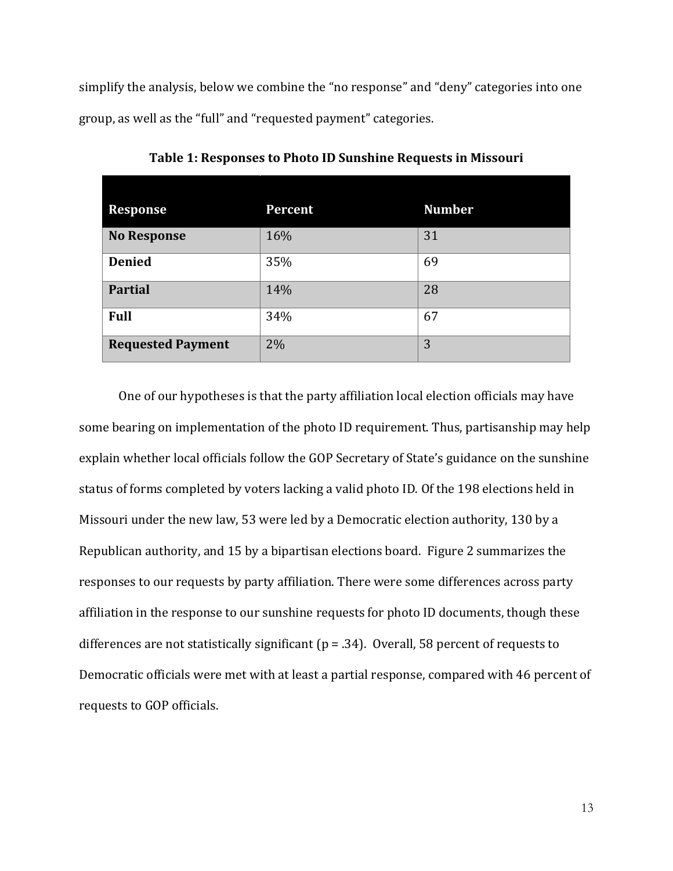simplify the analysis, below we combine the "no response" and "deny" categories into one group, as well as the "full" and "requested payment" categories.

| <b>Response</b>          | Percent | <b>Number</b> |
|--------------------------|---------|---------------|
| <b>No Response</b>       | 16%     | 31            |
| <b>Denied</b>            | 35%     | 69            |
| <b>Partial</b>           | 14%     | 28            |
| <b>Full</b>              | 34%     | 67            |
| <b>Requested Payment</b> | $2\%$   | 3             |

**Table 1: Responses to Photo ID Sunshine Requests in Missouri**

One of our hypotheses is that the party affiliation local election officials may have some bearing on implementation of the photo ID requirement. Thus, partisanship may help explain whether local officials follow the GOP Secretary of State's guidance on the sunshine status of forms completed by voters lacking a valid photo ID. Of the 198 elections held in Missouri under the new law, 53 were led by a Democratic election authority, 130 by a Republican authority, and 15 by a bipartisan elections board. Figure 2 summarizes the responses to our requests by party affiliation. There were some differences across party affiliation in the response to our sunshine requests for photo ID documents, though these differences are not statistically significant ( $p = .34$ ). Overall, 58 percent of requests to Democratic officials were met with at least a partial response, compared with 46 percent of requests to GOP officials.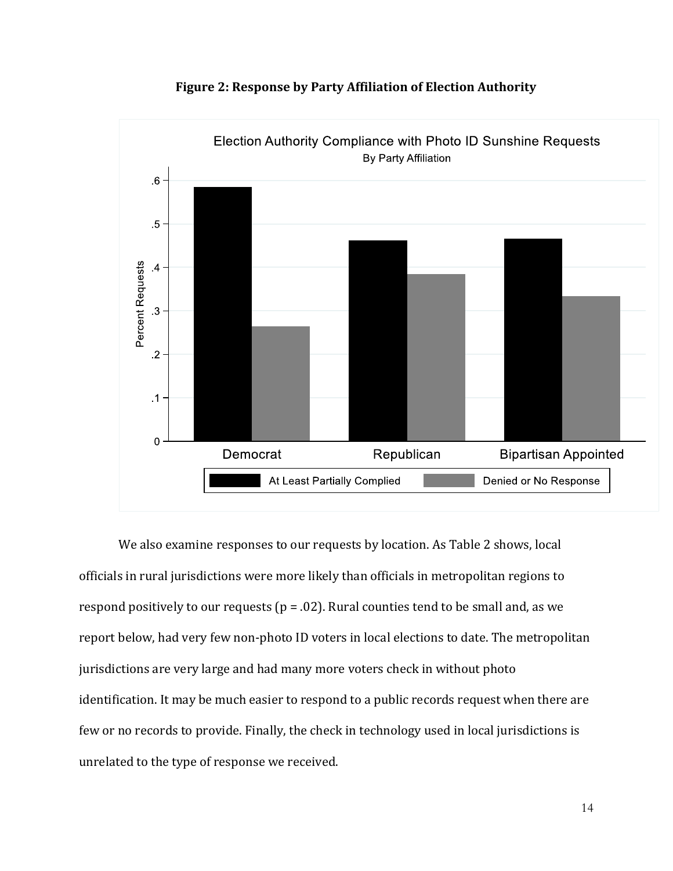

**Figure 2: Response by Party Affiliation of Election Authority**

We also examine responses to our requests by location. As Table 2 shows, local officials in rural jurisdictions were more likely than officials in metropolitan regions to respond positively to our requests ( $p = .02$ ). Rural counties tend to be small and, as we report below, had very few non-photo ID voters in local elections to date. The metropolitan jurisdictions are very large and had many more voters check in without photo identification. It may be much easier to respond to a public records request when there are few or no records to provide. Finally, the check in technology used in local jurisdictions is unrelated to the type of response we received.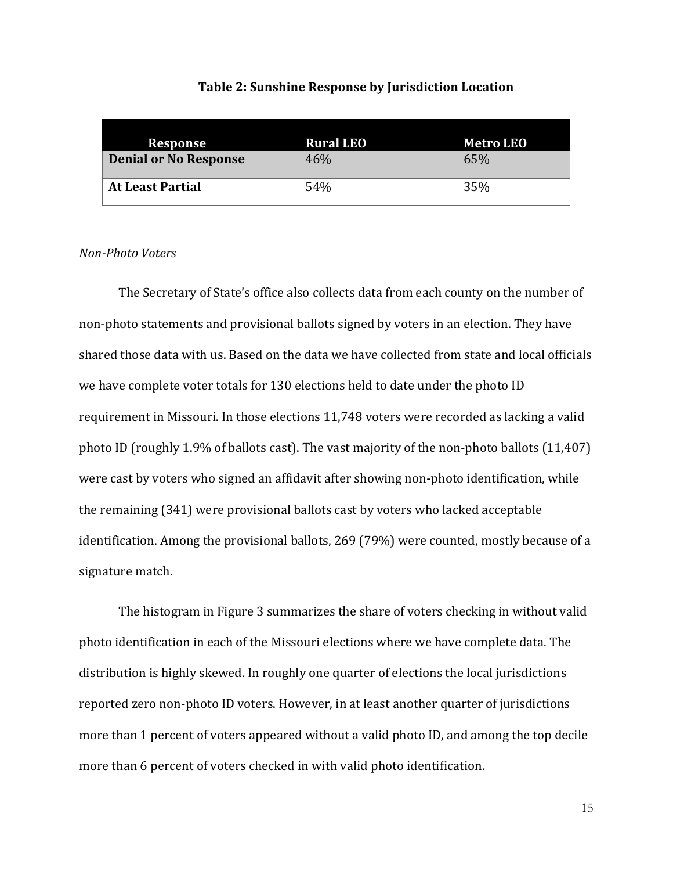| Response                     | <b>Rural LEO</b> | <b>Metro LEO</b> |
|------------------------------|------------------|------------------|
| <b>Denial or No Response</b> | 46%              | 65%              |
| <b>At Least Partial</b>      | 54%              | 35%              |

#### **Table 2: Sunshine Response by Jurisdiction Location**

#### *Non-Photo Voters*

The Secretary of State's office also collects data from each county on the number of non-photo statements and provisional ballots signed by voters in an election. They have shared those data with us. Based on the data we have collected from state and local officials we have complete voter totals for 130 elections held to date under the photo ID requirement in Missouri. In those elections 11,748 voters were recorded as lacking a valid photo ID (roughly 1.9% of ballots cast). The vast majority of the non-photo ballots (11,407) were cast by voters who signed an affidavit after showing non-photo identification, while the remaining (341) were provisional ballots cast by voters who lacked acceptable identification. Among the provisional ballots, 269 (79%) were counted, mostly because of a signature match.

The histogram in Figure 3 summarizes the share of voters checking in without valid photo identification in each of the Missouri elections where we have complete data. The distribution is highly skewed. In roughly one quarter of elections the local jurisdictions reported zero non-photo ID voters. However, in at least another quarter of jurisdictions more than 1 percent of voters appeared without a valid photo ID, and among the top decile more than 6 percent of voters checked in with valid photo identification.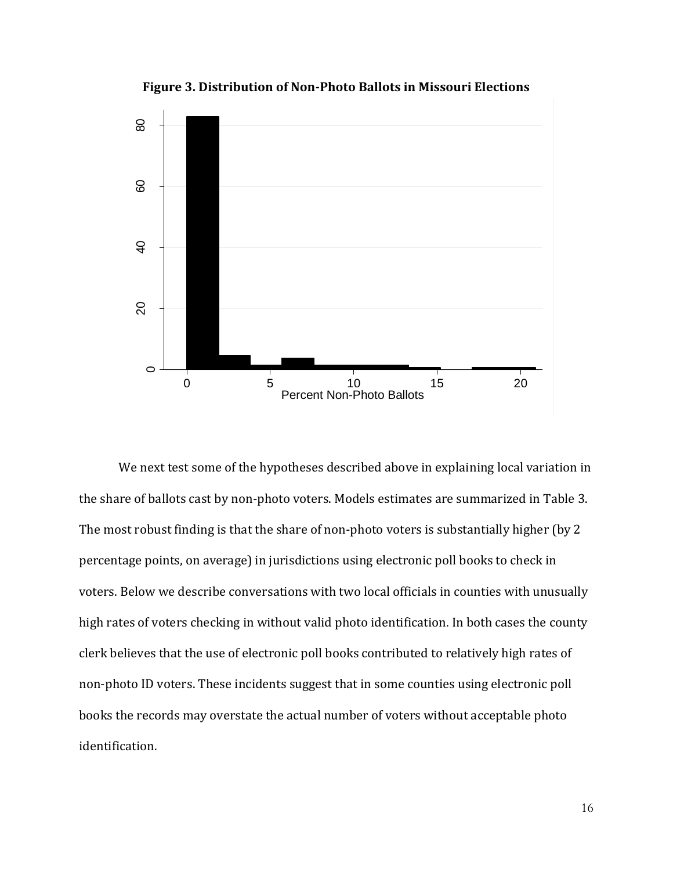

**Figure 3. Distribution of Non-Photo Ballots in Missouri Elections**

We next test some of the hypotheses described above in explaining local variation in the share of ballots cast by non-photo voters. Models estimates are summarized in Table 3. The most robust finding is that the share of non-photo voters is substantially higher (by 2 percentage points, on average) in jurisdictions using electronic poll books to check in voters. Below we describe conversations with two local officials in counties with unusually high rates of voters checking in without valid photo identification. In both cases the county clerk believes that the use of electronic poll books contributed to relatively high rates of non-photo ID voters. These incidents suggest that in some counties using electronic poll books the records may overstate the actual number of voters without acceptable photo identification.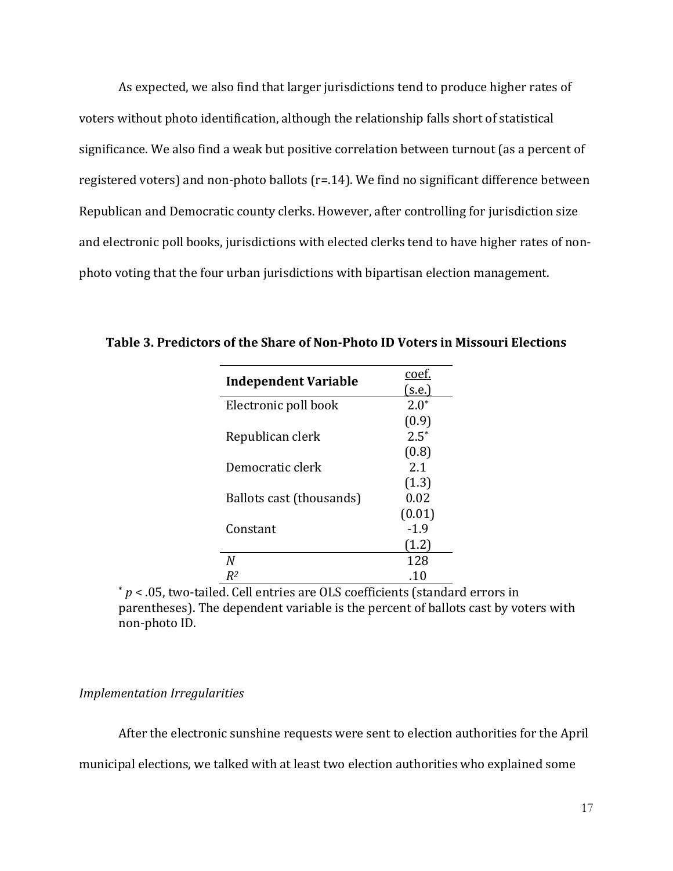As expected, we also find that larger jurisdictions tend to produce higher rates of voters without photo identification, although the relationship falls short of statistical significance. We also find a weak but positive correlation between turnout (as a percent of registered voters) and non-photo ballots (r=.14). We find no significant difference between Republican and Democratic county clerks. However, after controlling for jurisdiction size and electronic poll books, jurisdictions with elected clerks tend to have higher rates of nonphoto voting that the four urban jurisdictions with bipartisan election management.

| <b>Independent Variable</b> | coef.<br>(s.e.) |
|-----------------------------|-----------------|
| Electronic poll book        | $2.0^*$         |
|                             | (0.9)           |
| Republican clerk            | $2.5^*$         |
|                             | (0.8)           |
| Democratic clerk            | 2.1             |
|                             | (1.3)           |
| Ballots cast (thousands)    | 0.02            |
|                             | (0.01)          |
| Constant                    | $-1.9$          |
|                             | (1.2)           |
| N                           | 128             |
| R2                          | .10             |

**Table 3. Predictors of the Share of Non-Photo ID Voters in Missouri Elections**

\* *p* < .05, two-tailed. Cell entries are OLS coefficients (standard errors in parentheses). The dependent variable is the percent of ballots cast by voters with non-photo ID.

### *Implementation Irregularities*

After the electronic sunshine requests were sent to election authorities for the April

municipal elections, we talked with at least two election authorities who explained some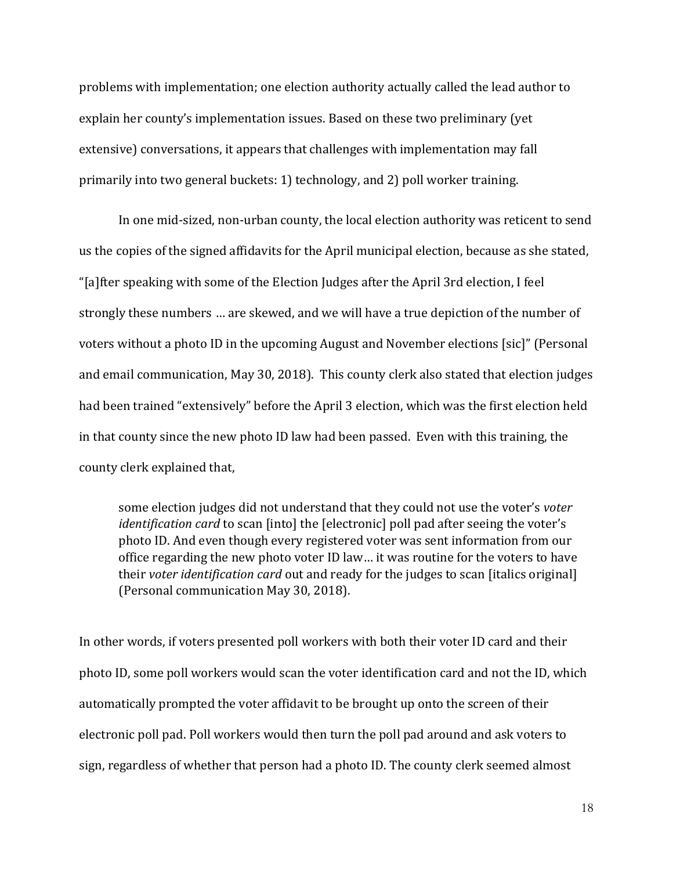problems with implementation; one election authority actually called the lead author to explain her county's implementation issues. Based on these two preliminary (yet extensive) conversations, it appears that challenges with implementation may fall primarily into two general buckets: 1) technology, and 2) poll worker training.

In one mid-sized, non-urban county, the local election authority was reticent to send us the copies of the signed affidavits for the April municipal election, because as she stated, "[a]fter speaking with some of the Election Judges after the April 3rd election, I feel strongly these numbers … are skewed, and we will have a true depiction of the number of voters without a photo ID in the upcoming August and November elections [sic]" (Personal and email communication, May 30, 2018). This county clerk also stated that election judges had been trained "extensively" before the April 3 election, which was the first election held in that county since the new photo ID law had been passed. Even with this training, the county clerk explained that,

some election judges did not understand that they could not use the voter's *voter identification card* to scan [into] the [electronic] poll pad after seeing the voter's photo ID. And even though every registered voter was sent information from our office regarding the new photo voter ID law… it was routine for the voters to have their *voter identification card* out and ready for the judges to scan [italics original] (Personal communication May 30, 2018).

In other words, if voters presented poll workers with both their voter ID card and their photo ID, some poll workers would scan the voter identification card and not the ID, which automatically prompted the voter affidavit to be brought up onto the screen of their electronic poll pad. Poll workers would then turn the poll pad around and ask voters to sign, regardless of whether that person had a photo ID. The county clerk seemed almost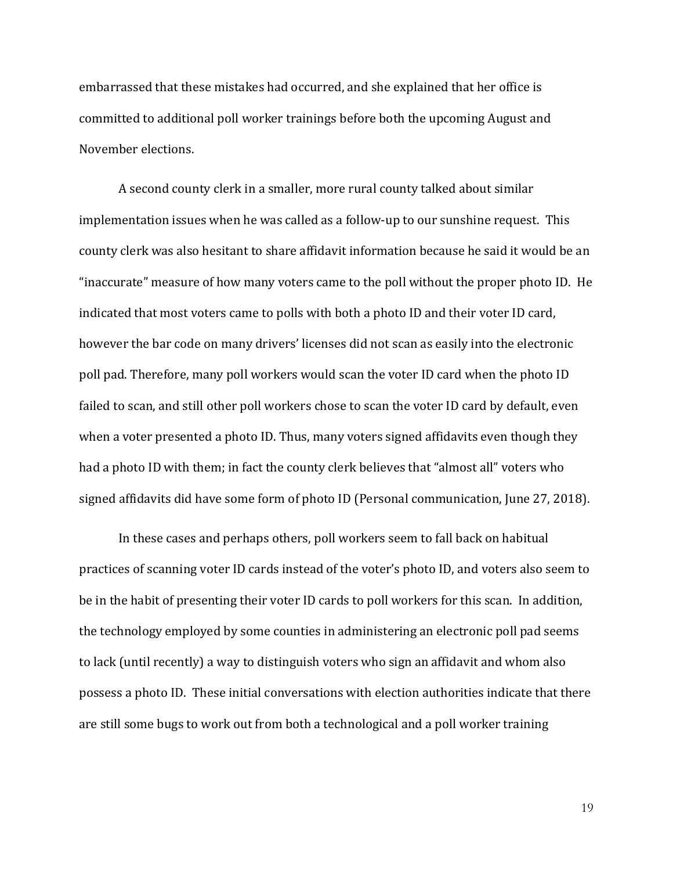embarrassed that these mistakes had occurred, and she explained that her office is committed to additional poll worker trainings before both the upcoming August and November elections.

A second county clerk in a smaller, more rural county talked about similar implementation issues when he was called as a follow-up to our sunshine request. This county clerk was also hesitant to share affidavit information because he said it would be an "inaccurate" measure of how many voters came to the poll without the proper photo ID. He indicated that most voters came to polls with both a photo ID and their voter ID card, however the bar code on many drivers' licenses did not scan as easily into the electronic poll pad. Therefore, many poll workers would scan the voter ID card when the photo ID failed to scan, and still other poll workers chose to scan the voter ID card by default, even when a voter presented a photo ID. Thus, many voters signed affidavits even though they had a photo ID with them; in fact the county clerk believes that "almost all" voters who signed affidavits did have some form of photo ID (Personal communication, June 27, 2018).

In these cases and perhaps others, poll workers seem to fall back on habitual practices of scanning voter ID cards instead of the voter's photo ID, and voters also seem to be in the habit of presenting their voter ID cards to poll workers for this scan. In addition, the technology employed by some counties in administering an electronic poll pad seems to lack (until recently) a way to distinguish voters who sign an affidavit and whom also possess a photo ID. These initial conversations with election authorities indicate that there are still some bugs to work out from both a technological and a poll worker training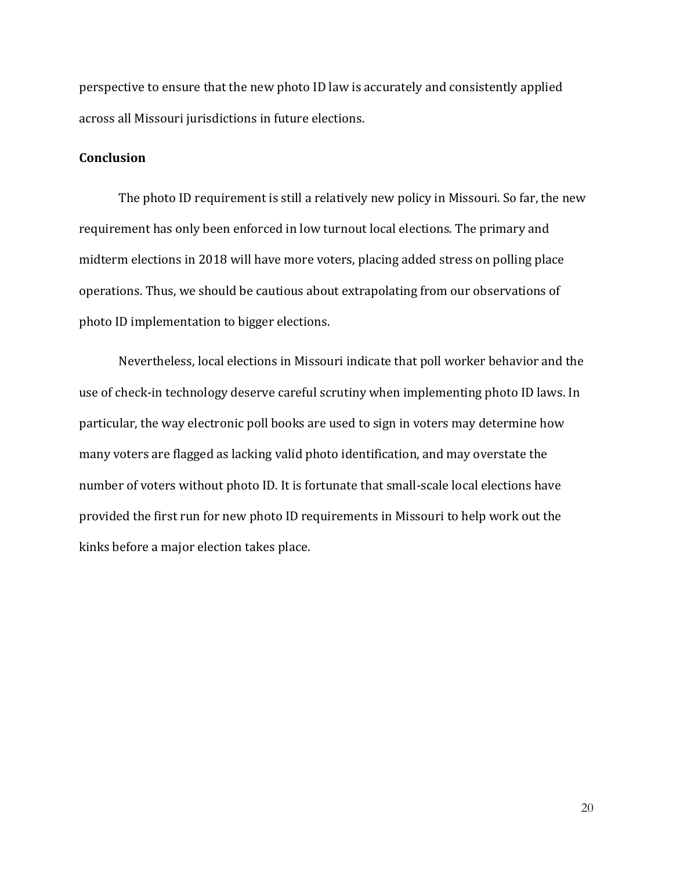perspective to ensure that the new photo ID law is accurately and consistently applied across all Missouri jurisdictions in future elections.

### **Conclusion**

The photo ID requirement is still a relatively new policy in Missouri. So far, the new requirement has only been enforced in low turnout local elections. The primary and midterm elections in 2018 will have more voters, placing added stress on polling place operations. Thus, we should be cautious about extrapolating from our observations of photo ID implementation to bigger elections.

Nevertheless, local elections in Missouri indicate that poll worker behavior and the use of check-in technology deserve careful scrutiny when implementing photo ID laws. In particular, the way electronic poll books are used to sign in voters may determine how many voters are flagged as lacking valid photo identification, and may overstate the number of voters without photo ID. It is fortunate that small-scale local elections have provided the first run for new photo ID requirements in Missouri to help work out the kinks before a major election takes place.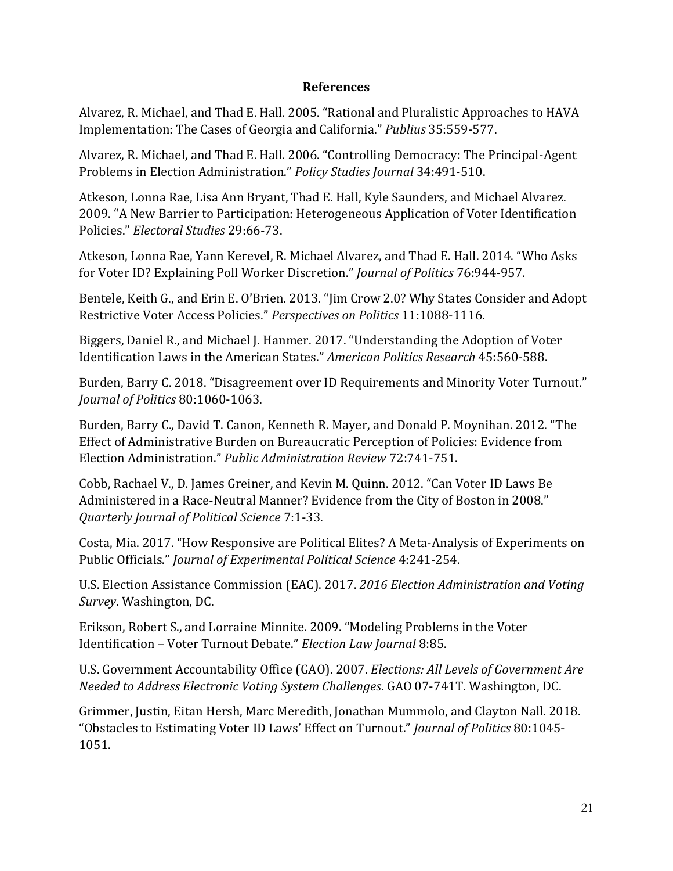## **References**

Alvarez, R. Michael, and Thad E. Hall. 2005. "Rational and Pluralistic Approaches to HAVA Implementation: The Cases of Georgia and California." *Publius* 35:559-577.

Alvarez, R. Michael, and Thad E. Hall. 2006. "Controlling Democracy: The Principal-Agent Problems in Election Administration." *Policy Studies Journal* 34:491-510.

Atkeson, Lonna Rae, Lisa Ann Bryant, Thad E. Hall, Kyle Saunders, and Michael Alvarez. 2009. "A New Barrier to Participation: Heterogeneous Application of Voter Identification Policies." *Electoral Studies* 29:66-73.

Atkeson, Lonna Rae, Yann Kerevel, R. Michael Alvarez, and Thad E. Hall. 2014. "Who Asks for Voter ID? Explaining Poll Worker Discretion." *Journal of Politics* 76:944-957.

Bentele, Keith G., and Erin E. O'Brien. 2013. "Jim Crow 2.0? Why States Consider and Adopt Restrictive Voter Access Policies." *Perspectives on Politics* 11:1088-1116.

Biggers, Daniel R., and Michael J. Hanmer. 2017. "Understanding the Adoption of Voter Identification Laws in the American States." *American Politics Research* 45:560-588.

Burden, Barry C. 2018. "Disagreement over ID Requirements and Minority Voter Turnout." *Journal of Politics* 80:1060-1063.

Burden, Barry C., David T. Canon, Kenneth R. Mayer, and Donald P. Moynihan. 2012. "The Effect of Administrative Burden on Bureaucratic Perception of Policies: Evidence from Election Administration." *Public Administration Review* 72:741-751.

Cobb, Rachael V., D. James Greiner, and Kevin M. Quinn. 2012. "Can Voter ID Laws Be Administered in a Race-Neutral Manner? Evidence from the City of Boston in 2008." *Quarterly Journal of Political Science* 7:1-33.

Costa, Mia. 2017. "How Responsive are Political Elites? A Meta-Analysis of Experiments on Public Officials." *Journal of Experimental Political Science* 4:241-254.

U.S. Election Assistance Commission (EAC). 2017. *2016 Election Administration and Voting Survey*. Washington, DC.

Erikson, Robert S., and Lorraine Minnite. 2009. "Modeling Problems in the Voter Identification – Voter Turnout Debate." *Election Law Journal* 8:85.

U.S. Government Accountability Office (GAO). 2007. *Elections: All Levels of Government Are Needed to Address Electronic Voting System Challenges*. GAO 07-741T. Washington, DC.

Grimmer, Justin, Eitan Hersh, Marc Meredith, Jonathan Mummolo, and Clayton Nall. 2018. "Obstacles to Estimating Voter ID Laws' Effect on Turnout." *Journal of Politics* 80:1045- 1051.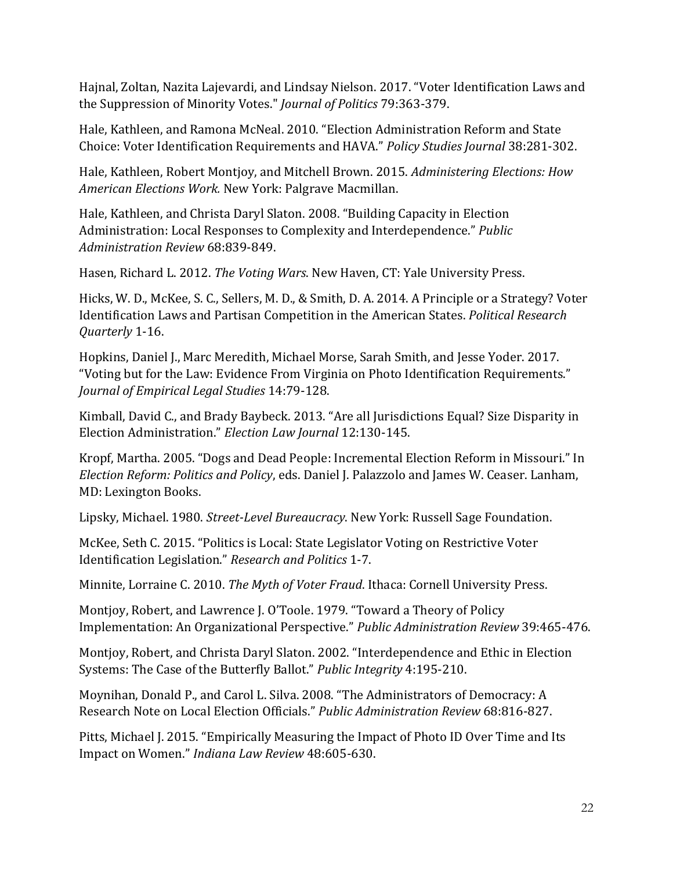Hajnal, Zoltan, Nazita Lajevardi, and Lindsay Nielson. 2017. "Voter Identification Laws and the Suppression of Minority Votes." *Journal of Politics* 79:363-379.

Hale, Kathleen, and Ramona McNeal. 2010. "Election Administration Reform and State Choice: Voter Identification Requirements and HAVA." *Policy Studies Journal* 38:281-302.

Hale, Kathleen, Robert Montjoy, and Mitchell Brown. 2015. *Administering Elections: How American Elections Work.* New York: Palgrave Macmillan.

Hale, Kathleen, and Christa Daryl Slaton. 2008. "Building Capacity in Election Administration: Local Responses to Complexity and Interdependence." *Public Administration Review* 68:839-849.

Hasen, Richard L. 2012. *The Voting Wars*. New Haven, CT: Yale University Press.

Hicks, W. D., McKee, S. C., Sellers, M. D., & Smith, D. A. 2014. A Principle or a Strategy? Voter Identification Laws and Partisan Competition in the American States. *Political Research Quarterly* 1-16.

Hopkins, Daniel J., Marc Meredith, Michael Morse, Sarah Smith, and Jesse Yoder. 2017. "Voting but for the Law: Evidence From Virginia on Photo Identification Requirements." *Journal of Empirical Legal Studies* 14:79-128.

Kimball, David C., and Brady Baybeck. 2013. "Are all Jurisdictions Equal? Size Disparity in Election Administration." *Election Law Journal* 12:130-145.

Kropf, Martha. 2005. "Dogs and Dead People: Incremental Election Reform in Missouri." In *Election Reform: Politics and Policy*, eds. Daniel J. Palazzolo and James W. Ceaser. Lanham, MD: Lexington Books.

Lipsky, Michael. 1980. *Street-Level Bureaucracy*. New York: Russell Sage Foundation.

McKee, Seth C. 2015. "Politics is Local: State Legislator Voting on Restrictive Voter Identification Legislation." *Research and Politics* 1-7.

Minnite, Lorraine C. 2010. *The Myth of Voter Fraud*. Ithaca: Cornell University Press.

Montjoy, Robert, and Lawrence J. O'Toole. 1979. "Toward a Theory of Policy Implementation: An Organizational Perspective." *Public Administration Review* 39:465-476.

Montjoy, Robert, and Christa Daryl Slaton. 2002. "Interdependence and Ethic in Election Systems: The Case of the Butterfly Ballot." *Public Integrity* 4:195-210.

Moynihan, Donald P., and Carol L. Silva. 2008. "The Administrators of Democracy: A Research Note on Local Election Officials." *Public Administration Review* 68:816-827.

Pitts, Michael J. 2015. "Empirically Measuring the Impact of Photo ID Over Time and Its Impact on Women." *Indiana Law Review* 48:605-630.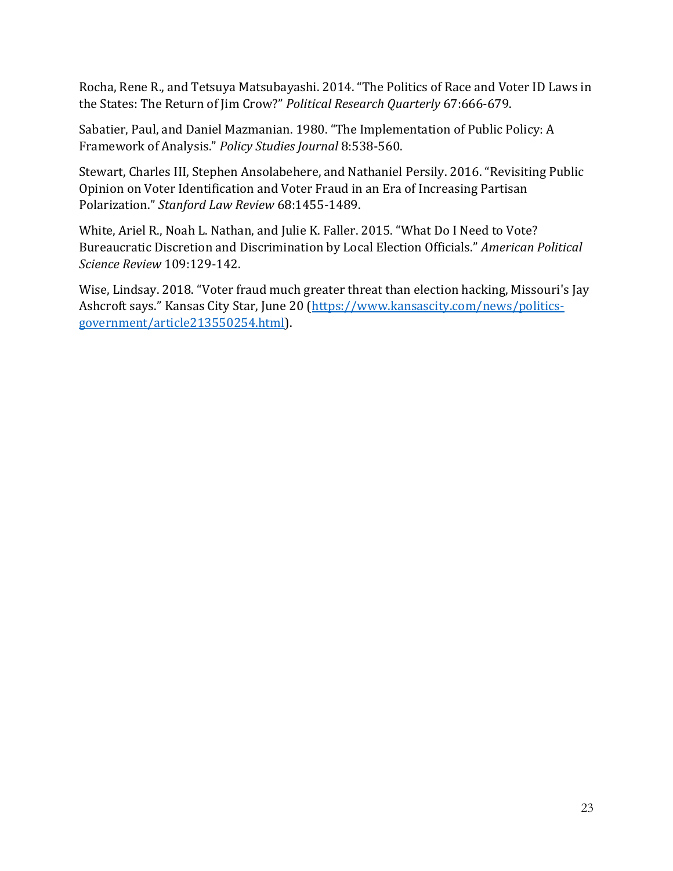Rocha, Rene R., and Tetsuya Matsubayashi. 2014. "The Politics of Race and Voter ID Laws in the States: The Return of Jim Crow?" *Political Research Quarterly* 67:666-679.

Sabatier, Paul, and Daniel Mazmanian. 1980. "The Implementation of Public Policy: A Framework of Analysis." *Policy Studies Journal* 8:538-560.

Stewart, Charles III, Stephen Ansolabehere, and Nathaniel Persily. 2016. "Revisiting Public Opinion on Voter Identification and Voter Fraud in an Era of Increasing Partisan Polarization." *Stanford Law Review* 68:1455-1489.

White, Ariel R., Noah L. Nathan, and Julie K. Faller. 2015. "What Do I Need to Vote? Bureaucratic Discretion and Discrimination by Local Election Officials." *American Political Science Review* 109:129-142.

Wise, Lindsay. 2018. "Voter fraud much greater threat than election hacking, Missouri's Jay Ashcroft says." Kansas City Star, June 20 ([https://www.kansascity.com/news/politics](https://www.kansascity.com/news/politics-government/article213550254.html)[government/article213550254.html\)](https://www.kansascity.com/news/politics-government/article213550254.html).